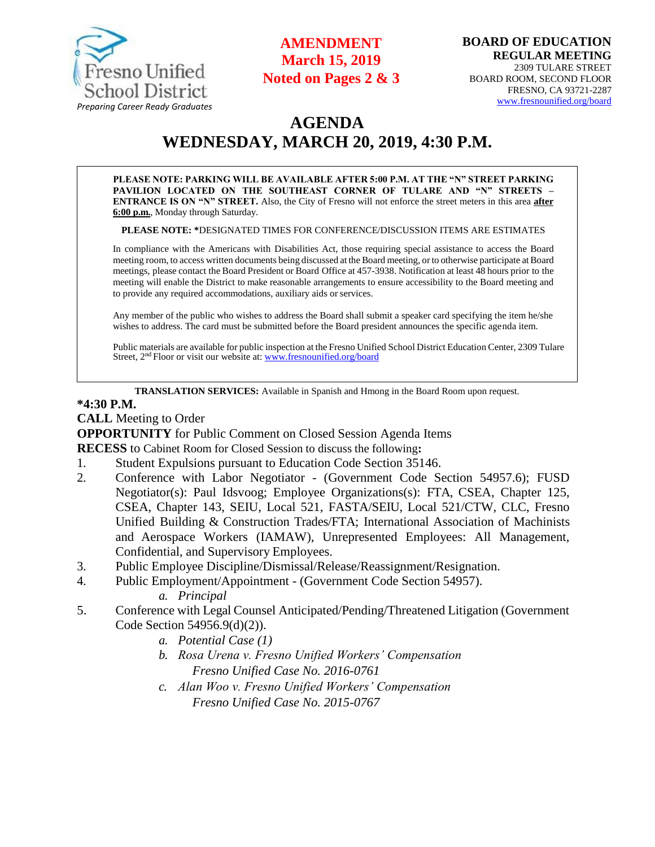

## **AMENDMENT March 15, 2019 Noted on Pages 2 & 3**

# **AGENDA WEDNESDAY, MARCH 20, 2019, 4:30 P.M.**

**PLEASE NOTE: PARKING WILL BE AVAILABLE AFTER 5:00 P.M. AT THE "N" STREET PARKING PAVILION LOCATED ON THE SOUTHEAST CORNER OF TULARE AND "N" STREETS – ENTRANCE IS ON "N" STREET.** Also, the City of Fresno will not enforce the street meters in this area **after 6:00 p.m.**, Monday through Saturday.

**PLEASE NOTE: \***DESIGNATED TIMES FOR CONFERENCE/DISCUSSION ITEMS ARE ESTIMATES

In compliance with the Americans with Disabilities Act, those requiring special assistance to access the Board meeting room, to access written documents being discussed at the Board meeting, or to otherwise participate at Board meetings, please contact the Board President or Board Office at 457-3938. Notification at least 48 hours prior to the meeting will enable the District to make reasonable arrangements to ensure accessibility to the Board meeting and to provide any required accommodations, auxiliary aids or services.

Any member of the public who wishes to address the Board shall submit a speaker card specifying the item he/she wishes to address. The card must be submitted before the Board president announces the specific agenda item.

Public materials are available for public inspection at the Fresno Unified School District Education Center, 2309 Tulare Street, 2<sup>nd</sup> Floor or visit our website at: **[www.fresnounified.org/board](http://www.fresnounified.org/board)** 

**TRANSLATION SERVICES:** Available in Spanish and Hmong in the Board Room upon request.

#### **\*4:30 P.M.**

**CALL** Meeting to Order

**OPPORTUNITY** for Public Comment on Closed Session Agenda Items

**RECESS** to Cabinet Room for Closed Session to discuss the following**:**

- 1. Student Expulsions pursuant to Education Code Section 35146.
- 2. Conference with Labor Negotiator (Government Code Section 54957.6); FUSD Negotiator(s): Paul Idsvoog; Employee Organizations(s): FTA, CSEA, Chapter 125, CSEA, Chapter 143, SEIU, Local 521, FASTA/SEIU, Local 521/CTW, CLC, Fresno Unified Building & Construction Trades/FTA; International Association of Machinists and Aerospace Workers (IAMAW), Unrepresented Employees: All Management, Confidential, and Supervisory Employees.
- 3. Public Employee Discipline/Dismissal/Release/Reassignment/Resignation.
- 4. Public Employment/Appointment (Government Code Section 54957). *a. Principal*
- 5. Conference with Legal Counsel Anticipated/Pending/Threatened Litigation (Government Code Section 54956.9(d)(2)).
	- *a. Potential Case (1)*
	- *b. Rosa Urena v. Fresno Unified Workers' Compensation Fresno Unified Case No. 2016-0761*
	- *c. Alan Woo v. Fresno Unified Workers' Compensation Fresno Unified Case No. 2015-0767*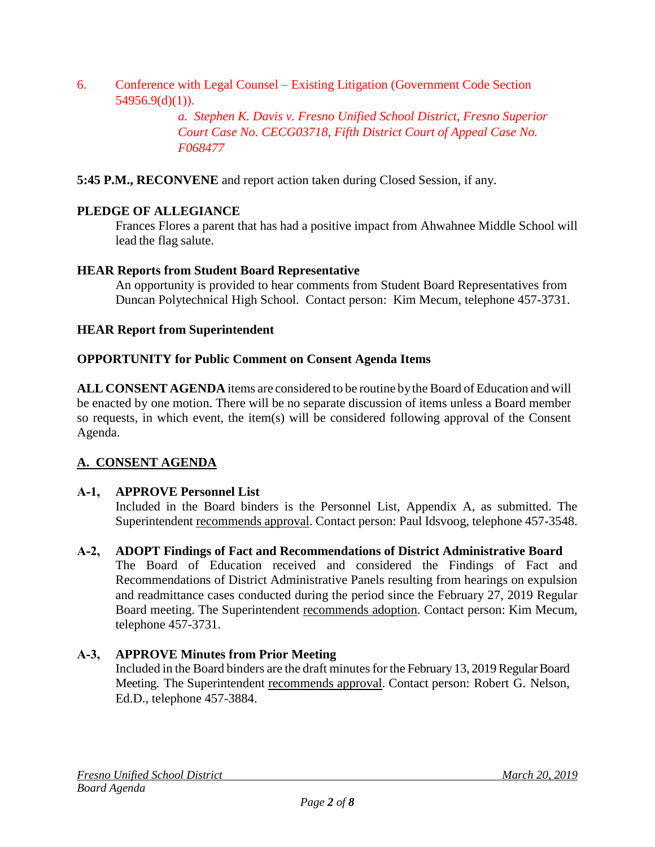6. Conference with Legal Counsel – Existing Litigation (Government Code Section  $54956.9(d)(1)$ ).

> *a. Stephen K. Davis v. Fresno Unified School District, Fresno Superior Court Case No. CECG03718, Fifth District Court of Appeal Case No. F068477*

**5:45 P.M., RECONVENE** and report action taken during Closed Session, if any.

## **PLEDGE OF ALLEGIANCE**

Frances Flores a parent that has had a positive impact from Ahwahnee Middle School will lead the flag salute.

### **HEAR Reports from Student Board Representative**

An opportunity is provided to hear comments from Student Board Representatives from Duncan Polytechnical High School. Contact person: Kim Mecum, telephone 457-3731.

## **HEAR Report from Superintendent**

### **OPPORTUNITY for Public Comment on Consent Agenda Items**

**ALL CONSENT AGENDA** items are considered to be routine bythe Board of Education and will be enacted by one motion. There will be no separate discussion of items unless a Board member so requests, in which event, the item(s) will be considered following approval of the Consent Agenda.

## **A. CONSENT AGENDA**

## **A-1, APPROVE Personnel List**

Included in the Board binders is the Personnel List, Appendix A, as submitted. The Superintendent recommends approval. Contact person: Paul Idsvoog, telephone 457-3548.

### **A-2, ADOPT Findings of Fact and Recommendations of District Administrative Board**

The Board of Education received and considered the Findings of Fact and Recommendations of District Administrative Panels resulting from hearings on expulsion and readmittance cases conducted during the period since the February 27, 2019 Regular Board meeting. The Superintendent recommends adoption. Contact person: Kim Mecum, telephone 457-3731.

## **A-3, APPROVE Minutes from Prior Meeting**

Included in the Board binders are the draft minutes for the February 13, 2019 Regular Board Meeting. The Superintendent recommends approval. Contact person: Robert G. Nelson, Ed.D., telephone 457-3884.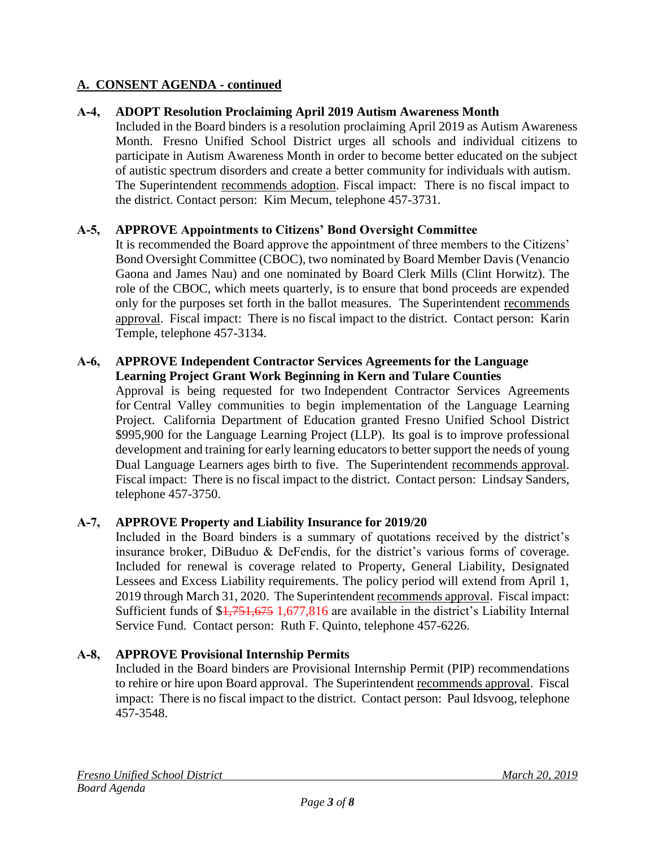### **A-4, ADOPT Resolution Proclaiming April 2019 Autism Awareness Month**

Included in the Board binders is a resolution proclaiming April 2019 as Autism Awareness Month. Fresno Unified School District urges all schools and individual citizens to participate in Autism Awareness Month in order to become better educated on the subject of autistic spectrum disorders and create a better community for individuals with autism. The Superintendent recommends adoption. Fiscal impact: There is no fiscal impact to the district. Contact person: Kim Mecum, telephone 457-3731.

### **A-5, APPROVE Appointments to Citizens' Bond Oversight Committee**

It is recommended the Board approve the appointment of three members to the Citizens' Bond Oversight Committee (CBOC), two nominated by Board Member Davis (Venancio Gaona and James Nau) and one nominated by Board Clerk Mills (Clint Horwitz). The role of the CBOC, which meets quarterly, is to ensure that bond proceeds are expended only for the purposes set forth in the ballot measures. The Superintendent recommends approval. Fiscal impact: There is no fiscal impact to the district. Contact person: Karin Temple, telephone 457-3134.

### **A-6, APPROVE Independent Contractor Services Agreements for the Language Learning Project Grant Work Beginning in Kern and Tulare Counties**

Approval is being requested for two Independent Contractor Services Agreements for Central Valley communities to begin implementation of the Language Learning Project. California Department of Education granted Fresno Unified School District \$995,900 for the Language Learning Project (LLP). Its goal is to improve professional development and training for early learning educators to better support the needs of young Dual Language Learners ages birth to five. The Superintendent recommends approval. Fiscal impact: There is no fiscal impact to the district. Contact person: Lindsay Sanders, telephone 457-3750.

### **A-7, APPROVE Property and Liability Insurance for 2019/20**

Included in the Board binders is a summary of quotations received by the district's insurance broker, DiBuduo & DeFendis, for the district's various forms of coverage. Included for renewal is coverage related to Property, General Liability, Designated Lessees and Excess Liability requirements. The policy period will extend from April 1, 2019 through March 31, 2020. The Superintendent recommends approval. Fiscal impact: Sufficient funds of \$1,751,675 1,677,816 are available in the district's Liability Internal Service Fund. Contact person: Ruth F. Quinto, telephone 457-6226.

### **A-8, APPROVE Provisional Internship Permits**

Included in the Board binders are Provisional Internship Permit (PIP) recommendations to rehire or hire upon Board approval. The Superintendent recommends approval. Fiscal impact: There is no fiscal impact to the district. Contact person: Paul Idsvoog, telephone 457-3548.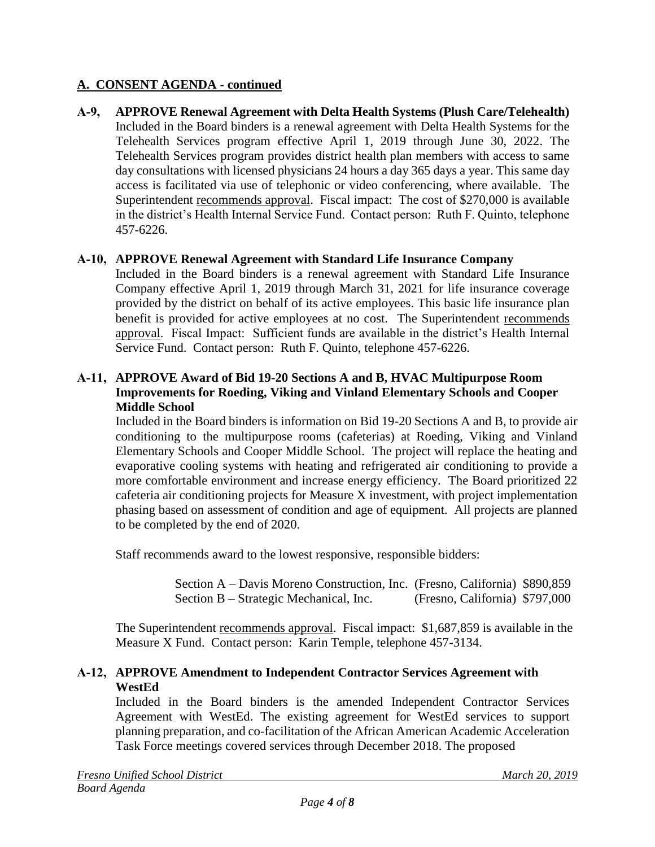**A-9, APPROVE Renewal Agreement with Delta Health Systems (Plush Care/Telehealth)** Included in the Board binders is a renewal agreement with Delta Health Systems for the Telehealth Services program effective April 1, 2019 through June 30, 2022. The Telehealth Services program provides district health plan members with access to same day consultations with licensed physicians 24 hours a day 365 days a year. This same day access is facilitated via use of telephonic or video conferencing, where available. The Superintendent recommends approval. Fiscal impact: The cost of \$270,000 is available in the district's Health Internal Service Fund. Contact person: Ruth F. Quinto, telephone 457-6226.

## **A-10, APPROVE Renewal Agreement with Standard Life Insurance Company**

Included in the Board binders is a renewal agreement with Standard Life Insurance Company effective April 1, 2019 through March 31, 2021 for life insurance coverage provided by the district on behalf of its active employees. This basic life insurance plan benefit is provided for active employees at no cost. The Superintendent recommends approval. Fiscal Impact: Sufficient funds are available in the district's Health Internal Service Fund. Contact person: Ruth F. Quinto, telephone 457-6226.

### **A-11, APPROVE Award of Bid 19-20 Sections A and B, HVAC Multipurpose Room Improvements for Roeding, Viking and Vinland Elementary Schools and Cooper Middle School**

Included in the Board binders is information on Bid 19-20 Sections A and B, to provide air conditioning to the multipurpose rooms (cafeterias) at Roeding, Viking and Vinland Elementary Schools and Cooper Middle School. The project will replace the heating and evaporative cooling systems with heating and refrigerated air conditioning to provide a more comfortable environment and increase energy efficiency. The Board prioritized 22 cafeteria air conditioning projects for Measure X investment, with project implementation phasing based on assessment of condition and age of equipment. All projects are planned to be completed by the end of 2020.

Staff recommends award to the lowest responsive, responsible bidders:

 Section A – Davis Moreno Construction, Inc. (Fresno, California) \$890,859 Section B – Strategic Mechanical, Inc. (Fresno, California) \$797,000

The Superintendent recommends approval. Fiscal impact: \$1,687,859 is available in the Measure X Fund. Contact person: Karin Temple, telephone 457-3134.

## **A-12, APPROVE Amendment to Independent Contractor Services Agreement with WestEd**

Included in the Board binders is the amended Independent Contractor Services Agreement with WestEd. The existing agreement for WestEd services to support planning preparation, and co-facilitation of the African American Academic Acceleration Task Force meetings covered services through December 2018. The proposed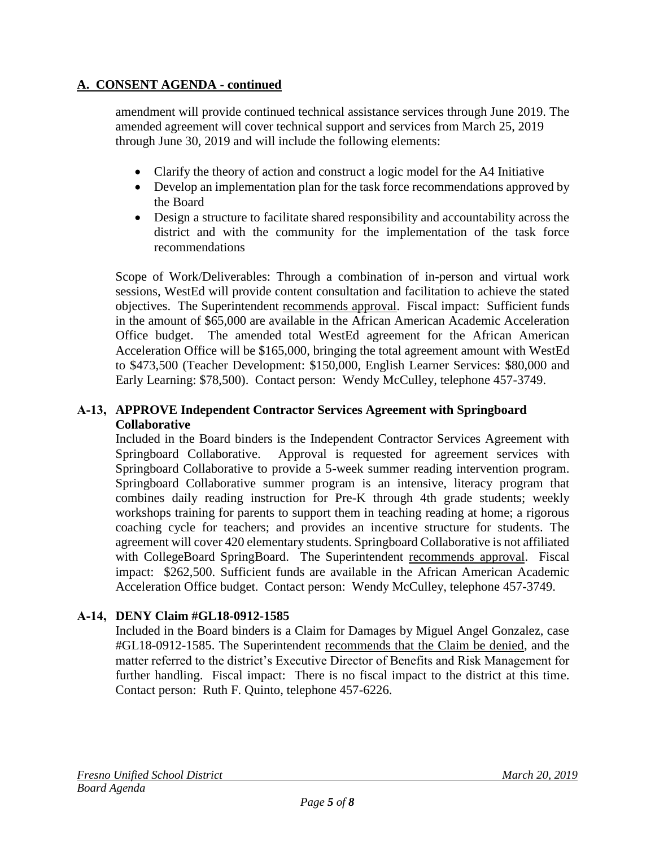amendment will provide continued technical assistance services through June 2019. The amended agreement will cover technical support and services from March 25, 2019 through June 30, 2019 and will include the following elements:

- Clarify the theory of action and construct a logic model for the A4 Initiative
- Develop an implementation plan for the task force recommendations approved by the Board
- Design a structure to facilitate shared responsibility and accountability across the district and with the community for the implementation of the task force recommendations

Scope of Work/Deliverables: Through a combination of in-person and virtual work sessions, WestEd will provide content consultation and facilitation to achieve the stated objectives. The Superintendent recommends approval. Fiscal impact: Sufficient funds in the amount of \$65,000 are available in the African American Academic Acceleration Office budget. The amended total WestEd agreement for the African American Acceleration Office will be \$165,000, bringing the total agreement amount with WestEd to \$473,500 (Teacher Development: \$150,000, English Learner Services: \$80,000 and Early Learning: \$78,500). Contact person: Wendy McCulley, telephone 457-3749.

## **A-13, APPROVE Independent Contractor Services Agreement with Springboard Collaborative**

Included in the Board binders is the Independent Contractor Services Agreement with Springboard Collaborative. Approval is requested for agreement services with Springboard Collaborative to provide a 5-week summer reading intervention program. Springboard Collaborative summer program is an intensive, literacy program that combines daily reading instruction for Pre-K through 4th grade students; weekly workshops training for parents to support them in teaching reading at home; a rigorous coaching cycle for teachers; and provides an incentive structure for students. The agreement will cover 420 elementary students. Springboard Collaborative is not affiliated with CollegeBoard SpringBoard. The Superintendent recommends approval. Fiscal impact: \$262,500. Sufficient funds are available in the African American Academic Acceleration Office budget. Contact person: Wendy McCulley, telephone 457-3749.

## **A-14, DENY Claim #GL18-0912-1585**

Included in the Board binders is a Claim for Damages by Miguel Angel Gonzalez, case #GL18-0912-1585. The Superintendent recommends that the Claim be denied, and the matter referred to the district's Executive Director of Benefits and Risk Management for further handling. Fiscal impact: There is no fiscal impact to the district at this time. Contact person: Ruth F. Quinto, telephone 457-6226.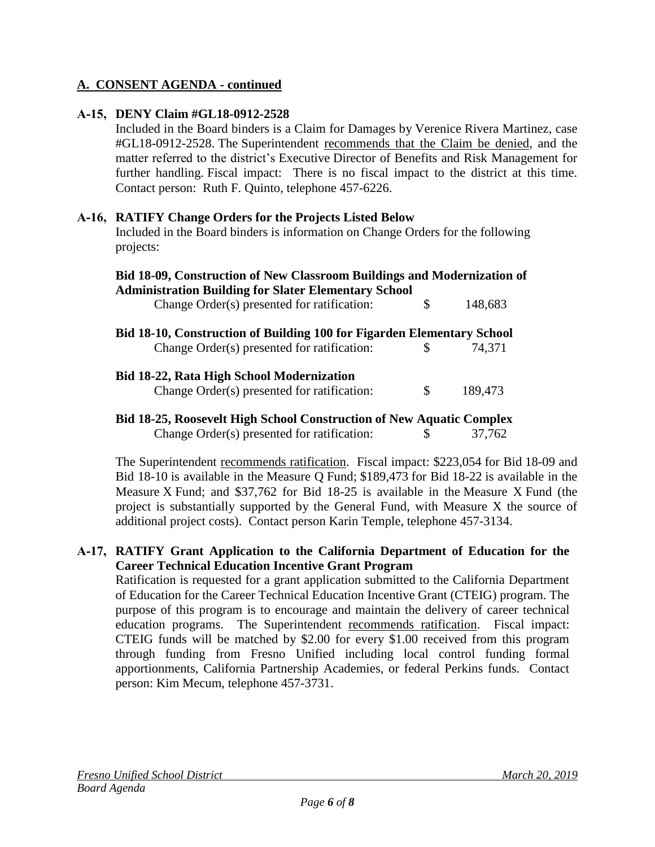## **A-15, DENY Claim #GL18-0912-2528**

Included in the Board binders is a Claim for Damages by Verenice Rivera Martinez, case #GL18-0912-2528. The Superintendent recommends that the Claim be denied, and the matter referred to the district's Executive Director of Benefits and Risk Management for further handling. Fiscal impact: There is no fiscal impact to the district at this time. Contact person: Ruth F. Quinto, telephone 457-6226.

### **A-16, RATIFY Change Orders for the Projects Listed Below**

Included in the Board binders is information on Change Orders for the following projects:

| Bid 18-09, Construction of New Classroom Buildings and Modernization of     |    |         |
|-----------------------------------------------------------------------------|----|---------|
| <b>Administration Building for Slater Elementary School</b>                 |    |         |
| Change Order(s) presented for ratification:                                 | \$ | 148,683 |
| Bid 18-10, Construction of Building 100 for Figarden Elementary School      |    |         |
| Change Order(s) presented for ratification:                                 |    | 74.371  |
| <b>Bid 18-22, Rata High School Modernization</b>                            |    |         |
| Change Order(s) presented for ratification:                                 | \$ | 189,473 |
| <b>Bid 18-25, Roosevelt High School Construction of New Aquatic Complex</b> |    |         |
| Change Order(s) presented for ratification:                                 |    | 37.762  |

The Superintendent recommends ratification. Fiscal impact: \$223,054 for Bid 18-09 and Bid 18-10 is available in the Measure Q Fund; \$189,473 for Bid 18-22 is available in the Measure X Fund; and \$37,762 for Bid 18-25 is available in the Measure X Fund (the project is substantially supported by the General Fund, with Measure X the source of additional project costs). Contact person Karin Temple, telephone 457-3134.

### **A-17, RATIFY Grant Application to the California Department of Education for the Career Technical Education Incentive Grant Program**

Ratification is requested for a grant application submitted to the California Department of Education for the Career Technical Education Incentive Grant (CTEIG) program. The purpose of this program is to encourage and maintain the delivery of career technical education programs. The Superintendent recommends ratification. Fiscal impact: CTEIG funds will be matched by \$2.00 for every \$1.00 received from this program through funding from Fresno Unified including local control funding formal apportionments, California Partnership Academies, or federal Perkins funds. Contact person: Kim Mecum, telephone 457-3731.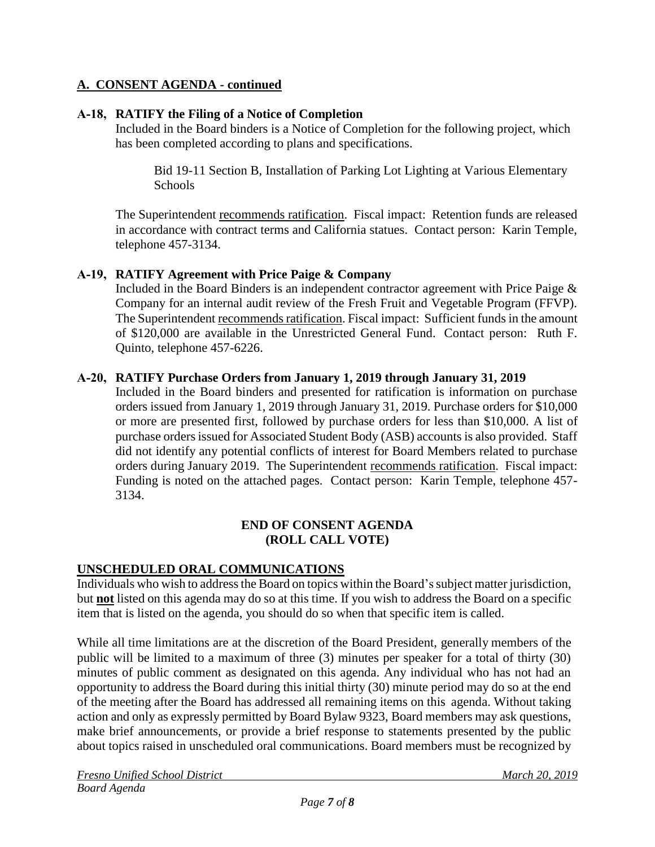### **A-18, RATIFY the Filing of a Notice of Completion**

Included in the Board binders is a Notice of Completion for the following project, which has been completed according to plans and specifications.

Bid 19-11 Section B, Installation of Parking Lot Lighting at Various Elementary Schools

The Superintendent recommends ratification. Fiscal impact: Retention funds are released in accordance with contract terms and California statues. Contact person: Karin Temple, telephone 457-3134.

### **A-19, RATIFY Agreement with Price Paige & Company**

Included in the Board Binders is an independent contractor agreement with Price Paige & Company for an internal audit review of the Fresh Fruit and Vegetable Program (FFVP). The Superintendent recommends ratification. Fiscal impact: Sufficient funds in the amount of \$120,000 are available in the Unrestricted General Fund. Contact person: Ruth F. Quinto, telephone 457-6226.

### **A-20, RATIFY Purchase Orders from January 1, 2019 through January 31, 2019**

Included in the Board binders and presented for ratification is information on purchase orders issued from January 1, 2019 through January 31, 2019. Purchase orders for \$10,000 or more are presented first, followed by purchase orders for less than \$10,000. A list of purchase orders issued for Associated Student Body (ASB) accounts is also provided. Staff did not identify any potential conflicts of interest for Board Members related to purchase orders during January 2019. The Superintendent recommends ratification. Fiscal impact: Funding is noted on the attached pages. Contact person: Karin Temple, telephone 457- 3134.

### **END OF CONSENT AGENDA (ROLL CALL VOTE)**

## **UNSCHEDULED ORAL COMMUNICATIONS**

Individuals who wish to address the Board on topics within the Board's subject matter jurisdiction, but **not** listed on this agenda may do so at this time. If you wish to address the Board on a specific item that is listed on the agenda, you should do so when that specific item is called.

While all time limitations are at the discretion of the Board President, generally members of the public will be limited to a maximum of three (3) minutes per speaker for a total of thirty (30) minutes of public comment as designated on this agenda. Any individual who has not had an opportunity to address the Board during this initial thirty (30) minute period may do so at the end of the meeting after the Board has addressed all remaining items on this agenda. Without taking action and only as expressly permitted by Board Bylaw 9323, Board members may ask questions, make brief announcements, or provide a brief response to statements presented by the public about topics raised in unscheduled oral communications. Board members must be recognized by